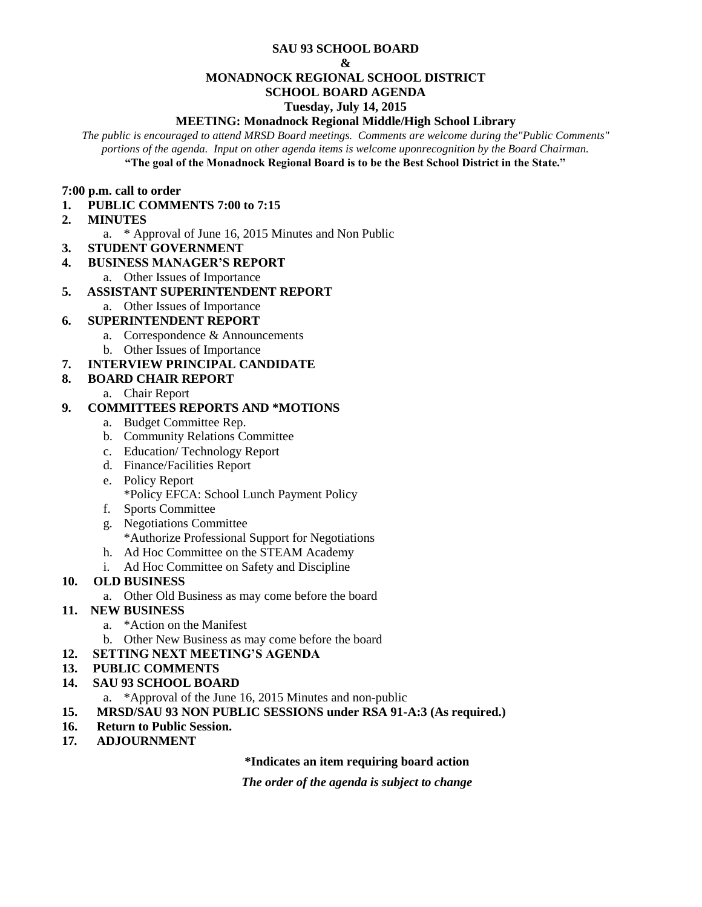#### **SAU 93 SCHOOL BOARD**

#### **&**

#### **MONADNOCK REGIONAL SCHOOL DISTRICT**

## **SCHOOL BOARD AGENDA**

#### **Tuesday, July 14, 2015**

## **MEETING: Monadnock Regional Middle/High School Library**

*The public is encouraged to attend MRSD Board meetings. Comments are welcome during the"Public Comments" portions of the agenda. Input on other agenda items is welcome uponrecognition by the Board Chairman.* **"The goal of the Monadnock Regional Board is to be the Best School District in the State."**

#### **7:00 p.m. call to order**

- **1. PUBLIC COMMENTS 7:00 to 7:15**
- **2. MINUTES** 
	- a. \* Approval of June 16, 2015 Minutes and Non Public
- **3. STUDENT GOVERNMENT**
- **4. BUSINESS MANAGER'S REPORT** 
	- a. Other Issues of Importance

## **5. ASSISTANT SUPERINTENDENT REPORT**

a. Other Issues of Importance

# **6. SUPERINTENDENT REPORT**

- a. Correspondence & Announcements
- b. Other Issues of Importance

# **7. INTERVIEW PRINCIPAL CANDIDATE**

## **8. BOARD CHAIR REPORT**

a. Chair Report

# **9. COMMITTEES REPORTS AND \*MOTIONS**

- a. Budget Committee Rep.
- b. Community Relations Committee
- c. Education/ Technology Report
- d. Finance/Facilities Report
- e. Policy Report \*Policy EFCA: School Lunch Payment Policy
- f. Sports Committee
- g. Negotiations Committee \*Authorize Professional Support for Negotiations
- h. Ad Hoc Committee on the STEAM Academy
- i. Ad Hoc Committee on Safety and Discipline

## **10. OLD BUSINESS**

a. Other Old Business as may come before the board

## **11. NEW BUSINESS**

- a. \*Action on the Manifest
- b. Other New Business as may come before the board

## **12. SETTING NEXT MEETING'S AGENDA**

## **13. PUBLIC COMMENTS**

## **14. SAU 93 SCHOOL BOARD**

- a. \*Approval of the June 16, 2015 Minutes and non-public
- **15. MRSD/SAU 93 NON PUBLIC SESSIONS under RSA 91-A:3 (As required.)**
- **16. Return to Public Session.**
- **17***.* **ADJOURNMENT**

## **\*Indicates an item requiring board action**

*The order of the agenda is subject to change*